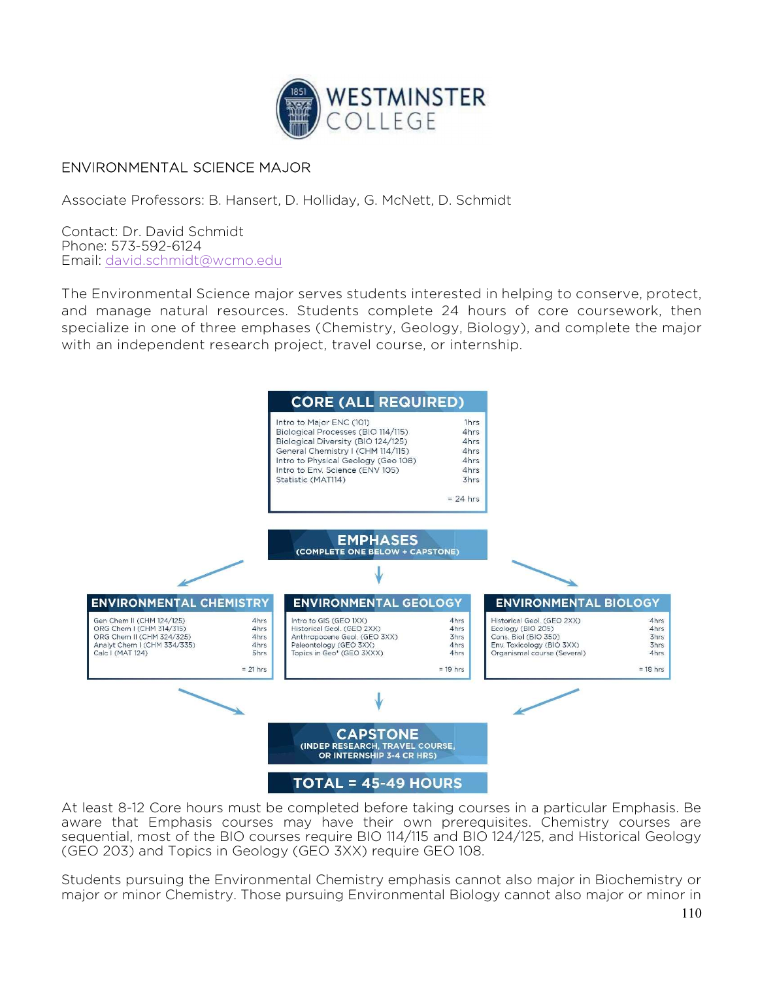

## ENVIRONMENTAL SCIENCE MAJOR

Associate Professors: B. Hansert, D. Holliday, G. McNett, D. Schmidt

Contact: Dr. David Schmidt Phone: 573-592-6124 Email: david.schmidt@wcmo.edu

The Environmental Science major serves students interested in helping to conserve, protect, and manage natural resources. Students complete 24 hours of core coursework, then specialize in one of three emphases (Chemistry, Geology, Biology), and complete the major with an independent research project, travel course, or internship.



At least 8-12 Core hours must be completed before taking courses in a particular Emphasis. Be aware that Emphasis courses may have their own prerequisites. Chemistry courses are sequential, most of the BIO courses require BIO 114/115 and BIO 124/125, and Historical Geology (GEO 203) and Topics in Geology (GEO 3XX) require GEO 108.

Students pursuing the Environmental Chemistry emphasis cannot also major in Biochemistry or major or minor Chemistry. Those pursuing Environmental Biology cannot also major or minor in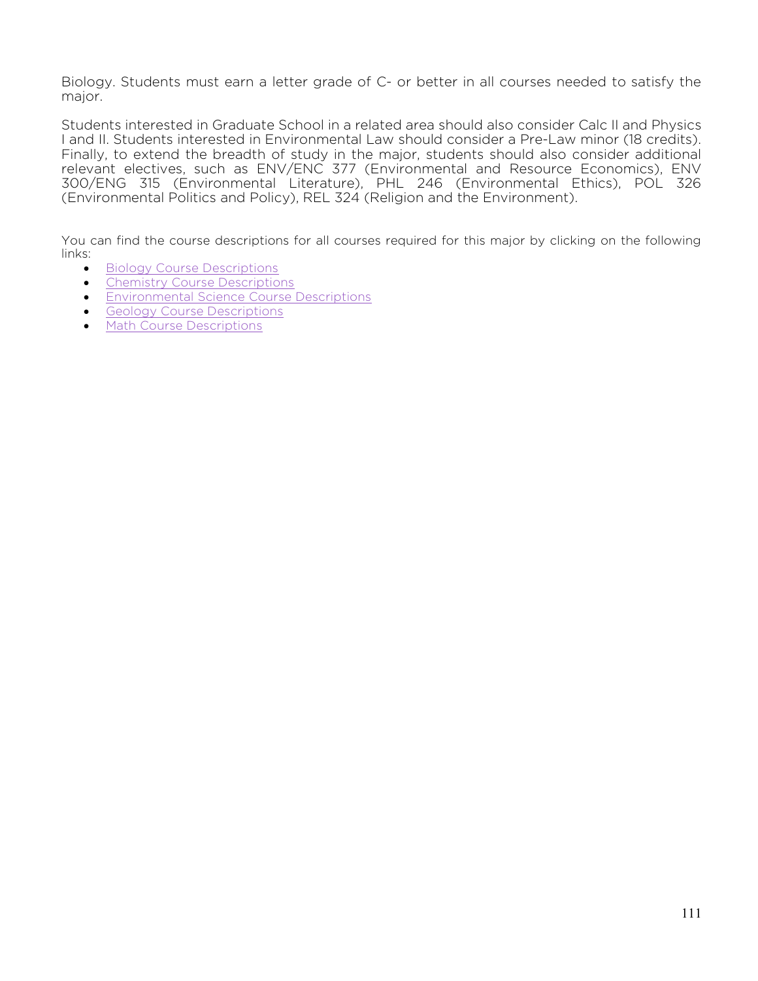Biology. Students must earn a letter grade of C- or better in all courses needed to satisfy the major.

Students interested in Graduate School in a related area should also consider Calc II and Physics I and II. Students interested in Environmental Law should consider a Pre-Law minor (18 credits). Finally, to extend the breadth of study in the major, students should also consider additional relevant electives, such as ENV/ENC 377 (Environmental and Resource Economics), ENV 300/ENG 315 (Environmental Literature), PHL 246 (Environmental Ethics), POL 326 (Environmental Politics and Policy), REL 324 (Religion and the Environment).

You can find the course descriptions for all courses required for this major by clicking on the following links:

- **Biology Course Descriptions**
- Chemistry Course Descriptions
- **Environmental Science Course Descriptions**
- **Geology Course Descriptions**
- Math Course Descriptions